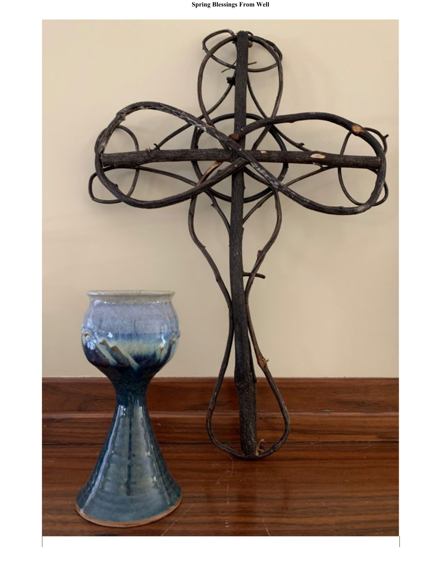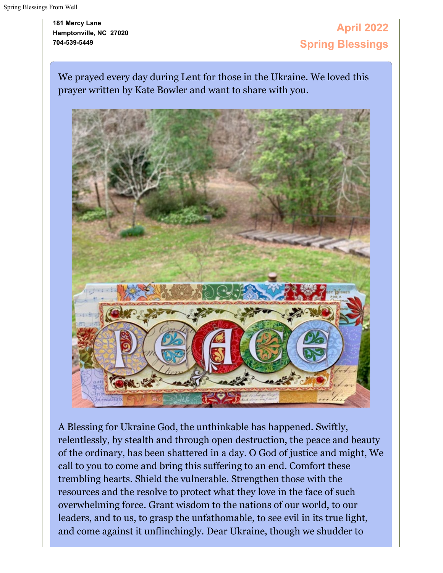**181 Mercy Lane Hamptonville, NC 27020 704-539-5449**

# **April 2022 Spring Blessings**

We prayed every day during Lent for those in the Ukraine. We loved this prayer written by Kate Bowler and want to share with you.



A Blessing for Ukraine God, the unthinkable has happened. Swiftly, relentlessly, by stealth and through open destruction, the peace and beauty of the ordinary, has been shattered in a day. O God of justice and might, We call to you to come and bring this suffering to an end. Comfort these trembling hearts. Shield the vulnerable. Strengthen those with the resources and the resolve to protect what they love in the face of such overwhelming force. Grant wisdom to the nations of our world, to our leaders, and to us, to grasp the unfathomable, to see evil in its true light, and come against it unflinchingly. Dear Ukraine, though we shudder to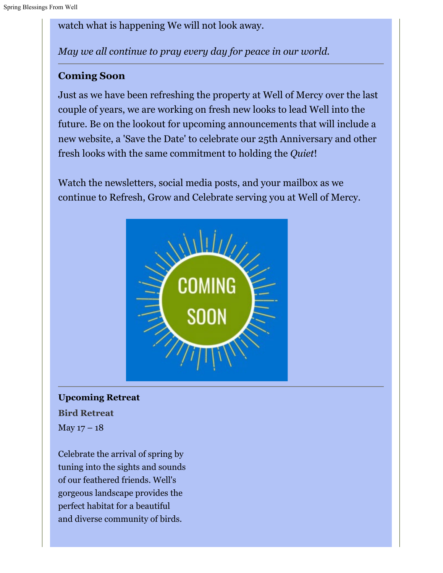watch what is happening We will not look away.

*May we all continue to pray every day for peace in our world.*

### **Coming Soon**

Just as we have been refreshing the property at Well of Mercy over the last couple of years, we are working on fresh new looks to lead Well into the future. Be on the lookout for upcoming announcements that will include a new website, a 'Save the Date' to celebrate our 25th Anniversary and other fresh looks with the same commitment to holding the *Quiet*!

Watch the newsletters, social media posts, and your mailbox as we continue to Refresh, Grow and Celebrate serving you at Well of Mercy.



## **Upcoming Retreat Bird Retreat** May  $17 - 18$

Celebrate the arrival of spring by tuning into the sights and sounds of our feathered friends. Well's gorgeous landscape provides the perfect habitat for a beautiful and diverse community of birds.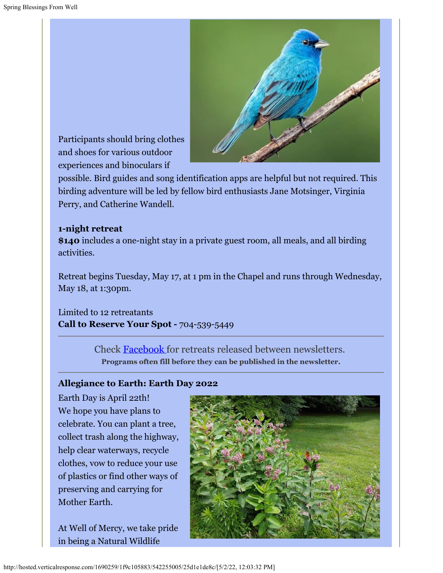

Participants should bring clothes and shoes for various outdoor experiences and binoculars if

possible. Bird guides and song identification apps are helpful but not required. This birding adventure will be led by fellow bird enthusiasts Jane Motsinger, Virginia Perry, and Catherine Wandell.

#### **1-night retreat**

**\$140** includes a one-night stay in a private guest room, all meals, and all birding activities.

Retreat begins Tuesday, May 17, at 1 pm in the Chapel and runs through Wednesday, May 18, at 1:30pm.

Limited to 12 retreatants **Call to Reserve Your Spot -** 704-539-5449

> Check [Facebook](https://cts.vresp.com/c/?WellofMercy/1f9c105883/25d1e1de8c/efb4fd4671) for retreats released between newsletters. **Programs often fill before they can be published in the newsletter.**

#### **Allegiance to Earth: Earth Day 2022**

Earth Day is April 22th! We hope you have plans to celebrate. You can plant a tree, collect trash along the highway, help clear waterways, recycle clothes, vow to reduce your use of plastics or find other ways of preserving and carrying for Mother Earth.

At Well of Mercy, we take pride in being a Natural Wildlife

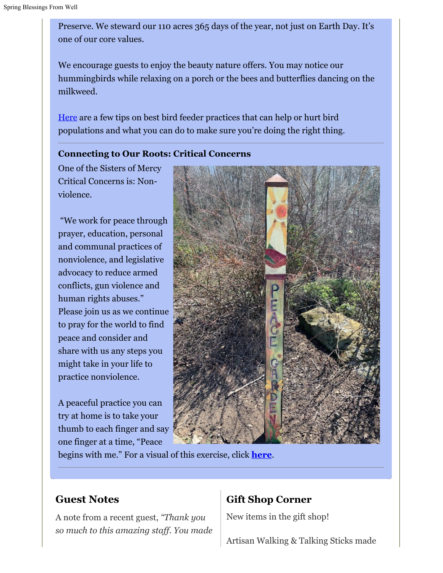Preserve. We steward our 110 acres 365 days of the year, not just on Earth Day. It's one of our core values.

We encourage guests to enjoy the beauty nature offers. You may notice our hummingbirds while relaxing on a porch or the bees and butterflies dancing on the milkweed.

[Here](https://cts.vresp.com/c/?WellofMercy/1f9c105883/25d1e1de8c/5b5784cb03) are a few tips on best bird feeder practices that can help or hurt bird populations and what you can do to make sure you're doing the right thing.

#### **Connecting to Our Roots: Critical Concerns**

One of the Sisters of Mercy Critical Concerns is: Nonviolence.

"We work for peace through prayer, education, personal and communal practices of nonviolence, and legislative advocacy to reduce armed conflicts, gun violence and human rights abuses." Please join us as we continue to pray for the world to find peace and consider and share with us any steps you might take in your life to practice nonviolence.

A peaceful practice you can try at home is to take your thumb to each finger and say one finger at a time, "Peace



begins with me." For a visual of this exercise, click **[here](https://cts.vresp.com/c/?WellofMercy/1f9c105883/25d1e1de8c/5624144aa0/v=eiLWO9jOTao)**.

### **Guest Notes**

A note from a recent guest, *"Thank you so much to this amazing staff. You made*

### **Gift Shop Corner**

New items in the gift shop!

Artisan Walking & Talking Sticks made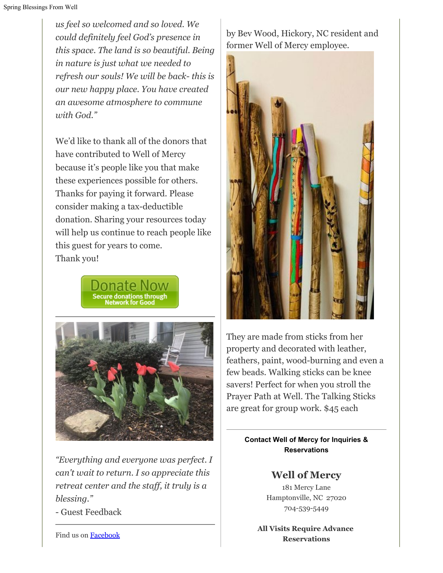*us feel so welcomed and so loved. We could definitely feel God's presence in this space. The land is so beautiful. Being in nature is just what we needed to refresh our souls! We will be back- this is our new happy place. You have created an awesome atmosphere to commune with God."*

We'd like to thank all of the donors that have contributed to Well of Mercy because it's people like you that make these experiences possible for others. Thanks for paying it forward. Please consider making a tax-deductible donation. Sharing your resources today will help us continue to reach people like this guest for years to come. Thank you!





*"Everything and everyone was perfect. I can't wait to return. I so appreciate this retreat center and the staff, it truly is a blessing."*

- Guest Feedback

by Bev Wood, Hickory, NC resident and former Well of Mercy employee.



They are made from sticks from her property and decorated with leather, feathers, paint, wood-burning and even a few beads. Walking sticks can be knee savers! Perfect for when you stroll the Prayer Path at Well. The Talking Sticks are great for group work. \$45 each

> **Contact Well of Mercy for Inquiries & Reservations**

> > **Well of Mercy**

181 Mercy Lane Hamptonville, NC 27020 704-539-5449

**All Visits Require Advance Reservations**

Find us on **Facebook**